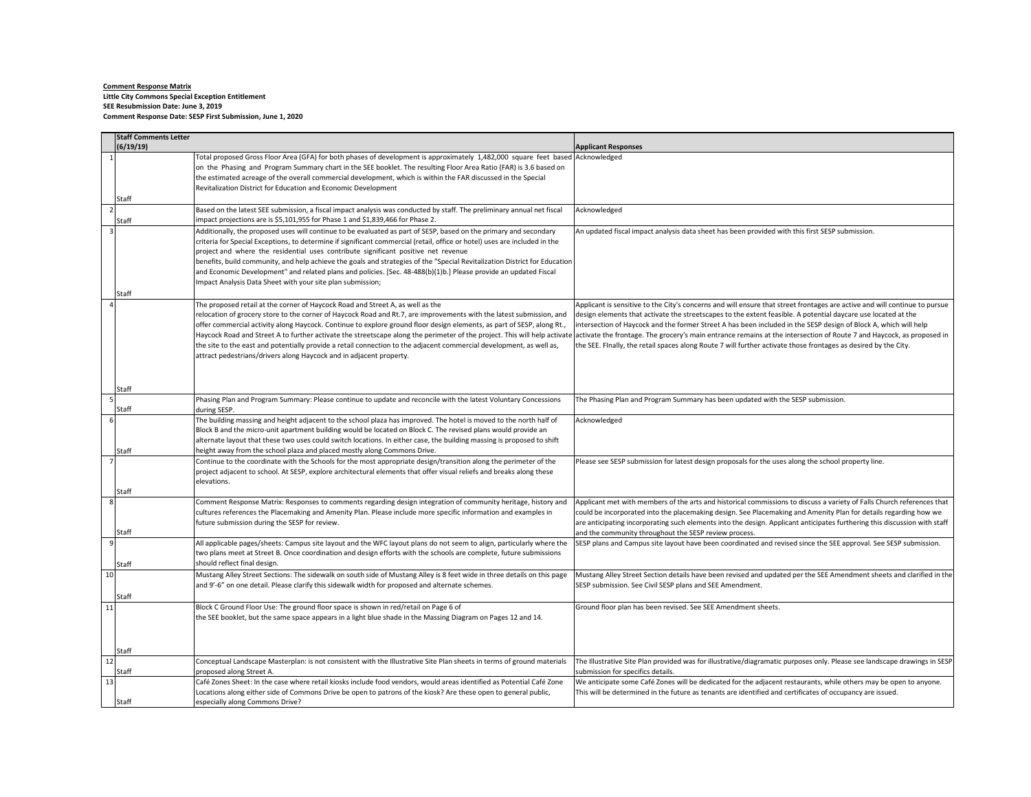**Comment Response Matrix Little City Commons Special Exception Entitlement SEE Resubmission Date: June 3, 2019 Comment Response Date: SESP First Submission, June 1, 2020**

| <b>Staff Comments Letter</b> |       |                                                                                                                                                                                               |                                                                                                                                                                                                                                |
|------------------------------|-------|-----------------------------------------------------------------------------------------------------------------------------------------------------------------------------------------------|--------------------------------------------------------------------------------------------------------------------------------------------------------------------------------------------------------------------------------|
| (6/19/19)                    |       |                                                                                                                                                                                               | <b>Applicant Responses</b>                                                                                                                                                                                                     |
| 1                            |       | Total proposed Gross Floor Area (GFA) for both phases of development is approximately 1,482,000 square feet based                                                                             | Acknowledged                                                                                                                                                                                                                   |
|                              |       | on the Phasing and Program Summary chart in the SEE booklet. The resulting Floor Area Ratio (FAR) is 3.6 based on                                                                             |                                                                                                                                                                                                                                |
|                              |       | the estimated acreage of the overall commercial development, which is within the FAR discussed in the Special                                                                                 |                                                                                                                                                                                                                                |
|                              |       | Revitalization District for Education and Economic Development                                                                                                                                |                                                                                                                                                                                                                                |
|                              | Staff |                                                                                                                                                                                               |                                                                                                                                                                                                                                |
| $\overline{\phantom{a}}$     |       | Based on the latest SEE submission, a fiscal impact analysis was conducted by staff. The preliminary annual net fiscal                                                                        | Acknowledged                                                                                                                                                                                                                   |
|                              | Staff | mpact projections are is \$5,101,955 for Phase 1 and \$1,839,466 for Phase 2.                                                                                                                 |                                                                                                                                                                                                                                |
|                              |       | Additionally, the proposed uses will continue to be evaluated as part of SESP, based on the primary and secondary                                                                             | An updated fiscal impact analysis data sheet has been provided with this first SESP submission.                                                                                                                                |
|                              |       | criteria for Special Exceptions, to determine if significant commercial (retail, office or hotel) uses are included in the                                                                    |                                                                                                                                                                                                                                |
|                              |       | project and where the residential uses contribute significant positive net revenue                                                                                                            |                                                                                                                                                                                                                                |
|                              |       | benefits, build community, and help achieve the goals and strategies of the "Special Revitalization District for Education                                                                    |                                                                                                                                                                                                                                |
|                              |       | and Economic Development" and related plans and policies. [Sec. 48-488(b)(1)b.] Please provide an updated Fiscal                                                                              |                                                                                                                                                                                                                                |
|                              |       | Impact Analysis Data Sheet with your site plan submission;                                                                                                                                    |                                                                                                                                                                                                                                |
|                              | Staff |                                                                                                                                                                                               |                                                                                                                                                                                                                                |
|                              |       | The proposed retail at the corner of Haycock Road and Street A, as well as the                                                                                                                | Applicant is sensitive to the City's concerns and will ensure that street frontages are active and will continue to pursue                                                                                                     |
|                              |       | relocation of grocery store to the corner of Haycock Road and Rt.7, are improvements with the latest submission, and                                                                          | design elements that activate the streetscapes to the extent feasible. A potential daycare use located at the                                                                                                                  |
|                              |       | offer commercial activity along Haycock. Continue to explore ground floor design elements, as part of SESP, along Rt.,                                                                        | intersection of Haycock and the former Street A has been included in the SESP design of Block A, which will help                                                                                                               |
|                              |       |                                                                                                                                                                                               | Haycock Road and Street A to further activate the streetscape along the perimeter of the project. This will help activate activate the frontage. The grocery's main entrance remains at the intersection of Route 7 and Haycoc |
|                              |       | the site to the east and potentially provide a retail connection to the adjacent commercial development, as well as,                                                                          | the SEE. Finally, the retail spaces along Route 7 will further activate those frontages as desired by the City.                                                                                                                |
|                              |       | attract pedestrians/drivers along Haycock and in adjacent property.                                                                                                                           |                                                                                                                                                                                                                                |
|                              |       |                                                                                                                                                                                               |                                                                                                                                                                                                                                |
|                              |       |                                                                                                                                                                                               |                                                                                                                                                                                                                                |
|                              | Staff |                                                                                                                                                                                               |                                                                                                                                                                                                                                |
| 5                            |       | Phasing Plan and Program Summary: Please continue to update and reconcile with the latest Voluntary Concessions                                                                               | The Phasing Plan and Program Summary has been updated with the SESP submission.                                                                                                                                                |
|                              | Staff | during SESP.                                                                                                                                                                                  |                                                                                                                                                                                                                                |
|                              |       | The building massing and height adjacent to the school plaza has improved. The hotel is moved to the north half of                                                                            | Acknowledged                                                                                                                                                                                                                   |
|                              |       | Block B and the micro-unit apartment building would be located on Block C. The revised plans would provide an                                                                                 |                                                                                                                                                                                                                                |
|                              | Staff | alternate layout that these two uses could switch locations. In either case, the building massing is proposed to shift                                                                        |                                                                                                                                                                                                                                |
|                              |       | height away from the school plaza and placed mostly along Commons Drive.<br>Continue to the coordinate with the Schools for the most appropriate design/transition along the perimeter of the | Please see SESP submission for latest design proposals for the uses along the school property line.                                                                                                                            |
|                              |       | project adjacent to school. At SESP, explore architectural elements that offer visual reliefs and breaks along these                                                                          |                                                                                                                                                                                                                                |
|                              |       | elevations.                                                                                                                                                                                   |                                                                                                                                                                                                                                |
|                              | Staff |                                                                                                                                                                                               |                                                                                                                                                                                                                                |
| 8                            |       | Comment Response Matrix: Responses to comments regarding design integration of community heritage, history and                                                                                | Applicant met with members of the arts and historical commissions to discuss a variety of Falls Church references that                                                                                                         |
|                              |       | cultures references the Placemaking and Amenity Plan. Please include more specific information and examples in                                                                                | could be incorporated into the placemaking design. See Placemaking and Amenity Plan for details regarding how we                                                                                                               |
|                              |       | future submission during the SESP for review.                                                                                                                                                 | are anticipating incorporating such elements into the design. Applicant anticipates furthering this discussion with staff                                                                                                      |
|                              | Staff |                                                                                                                                                                                               | and the community throughout the SESP review process.                                                                                                                                                                          |
| 9                            |       | All applicable pages/sheets: Campus site layout and the WFC layout plans do not seem to align, particularly where the                                                                         | SESP plans and Campus site layout have been coordinated and revised since the SEE approval. See SESP submission.                                                                                                               |
|                              |       | two plans meet at Street B. Once coordination and design efforts with the schools are complete, future submissions                                                                            |                                                                                                                                                                                                                                |
|                              | Staff | should reflect final design.                                                                                                                                                                  |                                                                                                                                                                                                                                |
| 10                           |       | Mustang Alley Street Sections: The sidewalk on south side of Mustang Alley is 8 feet wide in three details on this page                                                                       | Mustang Alley Street Section details have been revised and updated per the SEE Amendment sheets and clarified in the                                                                                                           |
|                              |       | and 9'-6" on one detail. Please clarify this sidewalk width for proposed and alternate schemes.                                                                                               | SESP submission. See Civil SESP plans and SEE Amendment.                                                                                                                                                                       |
|                              | Staff |                                                                                                                                                                                               |                                                                                                                                                                                                                                |
| 11                           |       | Block C Ground Floor Use: The ground floor space is shown in red/retail on Page 6 of                                                                                                          | Ground floor plan has been revised. See SEE Amendment sheets.                                                                                                                                                                  |
|                              |       | the SEE booklet, but the same space appears in a light blue shade in the Massing Diagram on Pages 12 and 14.                                                                                  |                                                                                                                                                                                                                                |
|                              |       |                                                                                                                                                                                               |                                                                                                                                                                                                                                |
|                              |       |                                                                                                                                                                                               |                                                                                                                                                                                                                                |
|                              | Staff |                                                                                                                                                                                               |                                                                                                                                                                                                                                |
| 12                           |       | Conceptual Landscape Masterplan: is not consistent with the Illustrative Site Plan sheets in terms of ground materials                                                                        | The Illustrative Site Plan provided was for illustrative/diagramatic purposes only. Please see landscape drawings in SESP                                                                                                      |
|                              | Staff | proposed along Street A.                                                                                                                                                                      | submission for specifics details.                                                                                                                                                                                              |
| 13                           |       | Café Zones Sheet: In the case where retail kiosks include food vendors, would areas identified as Potential Café Zone                                                                         | We anticipate some Café Zones will be dedicated for the adjacent restaurants, while others may be open to anyone.                                                                                                              |
|                              |       | Locations along either side of Commons Drive be open to patrons of the kiosk? Are these open to general public,                                                                               | This will be determined in the future as tenants are identified and certificates of occupancy are issued.                                                                                                                      |
|                              | Staff | especially along Commons Drive?                                                                                                                                                               |                                                                                                                                                                                                                                |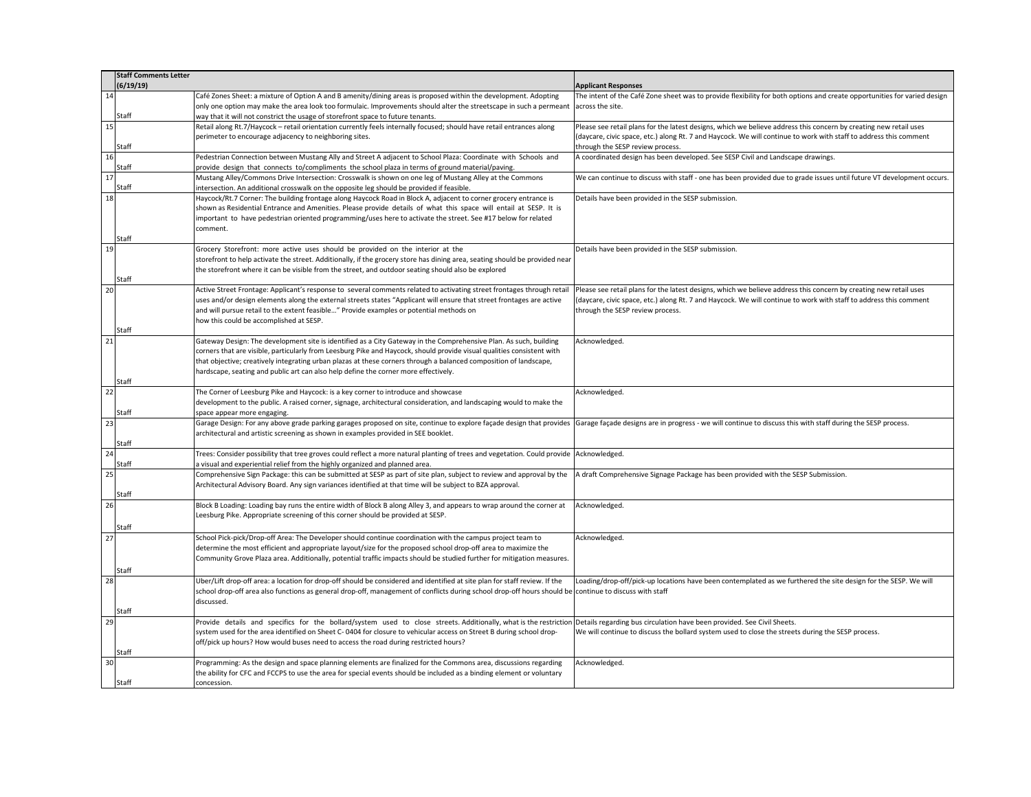|        | <b>Staff Comments Letter</b> |                                                                                                                                                                                           |                                                                                                                          |
|--------|------------------------------|-------------------------------------------------------------------------------------------------------------------------------------------------------------------------------------------|--------------------------------------------------------------------------------------------------------------------------|
|        | (6/19/19)                    |                                                                                                                                                                                           | <b>Applicant Responses</b>                                                                                               |
| 14     |                              | Café Zones Sheet: a mixture of Option A and B amenity/dining areas is proposed within the development. Adopting                                                                           | The intent of the Café Zone sheet was to provide flexibility for both options and create opportunities for varied design |
|        |                              | only one option may make the area look too formulaic. Improvements should alter the streetscape in such a permeant                                                                        | across the site.                                                                                                         |
|        | Staff                        | way that it will not constrict the usage of storefront space to future tenants.                                                                                                           |                                                                                                                          |
| $15$   |                              | Retail along Rt.7/Haycock - retail orientation currently feels internally focused; should have retail entrances along                                                                     | Please see retail plans for the latest designs, which we believe address this concern by creating new retail uses        |
|        |                              | perimeter to encourage adjacency to neighboring sites.                                                                                                                                    | (daycare, civic space, etc.) along Rt. 7 and Haycock. We will continue to work with staff to address this comment        |
|        | Staff                        |                                                                                                                                                                                           | through the SESP review process.                                                                                         |
| 16     |                              | Pedestrian Connection between Mustang Ally and Street A adjacent to School Plaza: Coordinate with Schools and                                                                             | A coordinated design has been developed. See SESP Civil and Landscape drawings.                                          |
|        | Staff                        | provide design that connects to/compliments the school plaza in terms of ground material/paving.                                                                                          |                                                                                                                          |
| $17\,$ |                              | Mustang Alley/Commons Drive Intersection: Crosswalk is shown on one leg of Mustang Alley at the Commons                                                                                   | We can continue to discuss with staff - one has been provided due to grade issues until future VT development occurs.    |
|        | Staff                        | intersection. An additional crosswalk on the opposite leg should be provided if feasible.                                                                                                 |                                                                                                                          |
| 18     |                              | Haycock/Rt.7 Corner: The building frontage along Haycock Road in Block A, adjacent to corner grocery entrance is                                                                          | Details have been provided in the SESP submission.                                                                       |
|        |                              | shown as Residential Entrance and Amenities. Please provide details of what this space will entail at SESP. It is                                                                         |                                                                                                                          |
|        |                              | important to have pedestrian oriented programming/uses here to activate the street. See #17 below for related                                                                             |                                                                                                                          |
|        |                              | comment.                                                                                                                                                                                  |                                                                                                                          |
|        | Staff                        |                                                                                                                                                                                           |                                                                                                                          |
| 19     |                              | Grocery Storefront: more active uses should be provided on the interior at the                                                                                                            | Details have been provided in the SESP submission.                                                                       |
|        |                              | storefront to help activate the street. Additionally, if the grocery store has dining area, seating should be provided near                                                               |                                                                                                                          |
|        |                              | the storefront where it can be visible from the street, and outdoor seating should also be explored                                                                                       |                                                                                                                          |
|        | Staff                        |                                                                                                                                                                                           |                                                                                                                          |
| 20     |                              | Active Street Frontage: Applicant's response to several comments related to activating street frontages through retai                                                                     | Please see retail plans for the latest designs, which we believe address this concern by creating new retail uses        |
|        |                              | uses and/or design elements along the external streets states "Applicant will ensure that street frontages are active                                                                     | (daycare, civic space, etc.) along Rt. 7 and Haycock. We will continue to work with staff to address this comment        |
|        |                              | and will pursue retail to the extent feasible" Provide examples or potential methods on                                                                                                   | through the SESP review process.                                                                                         |
|        | Staff                        | how this could be accomplished at SESP.                                                                                                                                                   |                                                                                                                          |
| 21     |                              | Gateway Design: The development site is identified as a City Gateway in the Comprehensive Plan. As such, building                                                                         | Acknowledged.                                                                                                            |
|        |                              | corners that are visible, particularly from Leesburg Pike and Haycock, should provide visual qualities consistent with                                                                    |                                                                                                                          |
|        |                              | that objective; creatively integrating urban plazas at these corners through a balanced composition of landscape,                                                                         |                                                                                                                          |
|        |                              | hardscape, seating and public art can also help define the corner more effectively.                                                                                                       |                                                                                                                          |
|        | Staff                        |                                                                                                                                                                                           |                                                                                                                          |
| 22     |                              | The Corner of Leesburg Pike and Haycock: is a key corner to introduce and showcase                                                                                                        | Acknowledged.                                                                                                            |
|        |                              | development to the public. A raised corner, signage, architectural consideration, and landscaping would to make the                                                                       |                                                                                                                          |
|        | Staff                        | space appear more engaging.                                                                                                                                                               |                                                                                                                          |
| 23     |                              | Garage Design: For any above grade parking garages proposed on site, continue to explore façade design that provides                                                                      | Garage façade designs are in progress - we will continue to discuss this with staff during the SESP process.             |
|        |                              | architectural and artistic screening as shown in examples provided in SEE booklet.                                                                                                        |                                                                                                                          |
|        | Staff                        |                                                                                                                                                                                           |                                                                                                                          |
| 24     |                              | Trees: Consider possibility that tree groves could reflect a more natural planting of trees and vegetation. Could provide Acknowledged.                                                   |                                                                                                                          |
|        | Staff                        | a visual and experiential relief from the highly organized and planned area.                                                                                                              |                                                                                                                          |
| 25     |                              | Comprehensive Sign Package: this can be submitted at SESP as part of site plan, subject to review and approval by the                                                                     | A draft Comprehensive Signage Package has been provided with the SESP Submission.                                        |
|        |                              | Architectural Advisory Board. Any sign variances identified at that time will be subject to BZA approval.                                                                                 |                                                                                                                          |
|        | Staff                        |                                                                                                                                                                                           |                                                                                                                          |
| 26     |                              | Block B Loading: Loading bay runs the entire width of Block B along Alley 3, and appears to wrap around the corner at                                                                     | Acknowledged.                                                                                                            |
|        |                              | Leesburg Pike. Appropriate screening of this corner should be provided at SESP.                                                                                                           |                                                                                                                          |
|        | Staff                        |                                                                                                                                                                                           |                                                                                                                          |
| 27     |                              | School Pick-pick/Drop-off Area: The Developer should continue coordination with the campus project team to                                                                                | Acknowledged.                                                                                                            |
|        |                              | determine the most efficient and appropriate layout/size for the proposed school drop-off area to maximize the                                                                            |                                                                                                                          |
|        |                              | Community Grove Plaza area. Additionally, potential traffic impacts should be studied further for mitigation measures.                                                                    |                                                                                                                          |
|        | Staff                        |                                                                                                                                                                                           |                                                                                                                          |
| 28     |                              | Uber/Lift drop-off area: a location for drop-off should be considered and identified at site plan for staff review. If the                                                                | Loading/drop-off/pick-up locations have been contemplated as we furthered the site design for the SESP. We will          |
|        |                              | school drop-off area also functions as general drop-off, management of conflicts during school drop-off hours should be continue to discuss with staff                                    |                                                                                                                          |
|        |                              | discussed.                                                                                                                                                                                |                                                                                                                          |
|        | Staff                        |                                                                                                                                                                                           |                                                                                                                          |
| 29     |                              | Provide details and specifics for the bollard/system used to close streets. Additionally, what is the restriction Details regarding bus circulation have been provided. See Civil Sheets. |                                                                                                                          |
|        |                              | system used for the area identified on Sheet C-0404 for closure to vehicular access on Street B during school drop-                                                                       | We will continue to discuss the bollard system used to close the streets during the SESP process.                        |
|        |                              | off/pick up hours? How would buses need to access the road during restricted hours?                                                                                                       |                                                                                                                          |
|        | Staf                         |                                                                                                                                                                                           |                                                                                                                          |
| 30     |                              | Programming: As the design and space planning elements are finalized for the Commons area, discussions regarding                                                                          | Acknowledged.                                                                                                            |
|        |                              | the ability for CFC and FCCPS to use the area for special events should be included as a binding element or voluntary                                                                     |                                                                                                                          |
|        | Staff                        | concession.                                                                                                                                                                               |                                                                                                                          |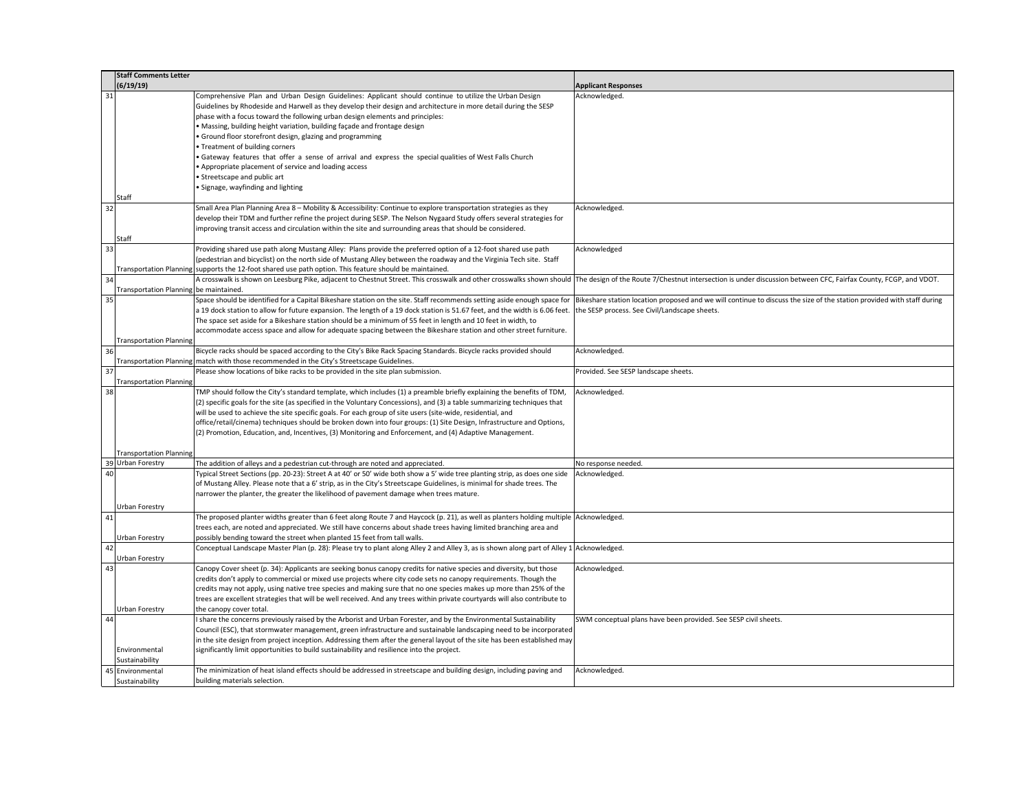|    | <b>Staff Comments Letter</b>   |                                                                                                                                                                                                                                |                                                                                                                        |
|----|--------------------------------|--------------------------------------------------------------------------------------------------------------------------------------------------------------------------------------------------------------------------------|------------------------------------------------------------------------------------------------------------------------|
|    | (6/19/19)                      |                                                                                                                                                                                                                                | <b>Applicant Responses</b>                                                                                             |
| 31 |                                | Comprehensive Plan and Urban Design Guidelines: Applicant should continue to utilize the Urban Design                                                                                                                          | Acknowledged.                                                                                                          |
|    |                                | Guidelines by Rhodeside and Harwell as they develop their design and architecture in more detail during the SESP                                                                                                               |                                                                                                                        |
|    |                                | phase with a focus toward the following urban design elements and principles:                                                                                                                                                  |                                                                                                                        |
|    |                                | · Massing, building height variation, building facade and frontage design                                                                                                                                                      |                                                                                                                        |
|    |                                | Ground floor storefront design, glazing and programming                                                                                                                                                                        |                                                                                                                        |
|    |                                | Treatment of building corners                                                                                                                                                                                                  |                                                                                                                        |
|    |                                | Gateway features that offer a sense of arrival and express the special qualities of West Falls Church                                                                                                                          |                                                                                                                        |
|    |                                | Appropriate placement of service and loading access                                                                                                                                                                            |                                                                                                                        |
|    |                                | Streetscape and public art                                                                                                                                                                                                     |                                                                                                                        |
|    |                                | Signage, wayfinding and lighting                                                                                                                                                                                               |                                                                                                                        |
|    | Staff                          |                                                                                                                                                                                                                                |                                                                                                                        |
| 32 |                                | Small Area Plan Planning Area 8 - Mobility & Accessibility: Continue to explore transportation strategies as they                                                                                                              | Acknowledged.                                                                                                          |
|    |                                | develop their TDM and further refine the project during SESP. The Nelson Nygaard Study offers several strategies for                                                                                                           |                                                                                                                        |
|    |                                | improving transit access and circulation within the site and surrounding areas that should be considered.                                                                                                                      |                                                                                                                        |
|    | Staff                          |                                                                                                                                                                                                                                |                                                                                                                        |
| 33 |                                | Providing shared use path along Mustang Alley: Plans provide the preferred option of a 12-foot shared use path                                                                                                                 | Acknowledged                                                                                                           |
|    |                                | (pedestrian and bicyclist) on the north side of Mustang Alley between the roadway and the Virginia Tech site. Staff                                                                                                            |                                                                                                                        |
|    | <b>Transportation Planning</b> | supports the 12-foot shared use path option. This feature should be maintained.                                                                                                                                                |                                                                                                                        |
| 34 |                                | A crosswalk is shown on Leesburg Pike, adjacent to Chestnut Street. This crosswalk and other crosswalks shown should  The design of the Route 7/Chestnut intersection is under discussion between CFC, Fairfax County, FCGP, a |                                                                                                                        |
|    | <b>Transportation Planning</b> | be maintained.                                                                                                                                                                                                                 |                                                                                                                        |
| 35 |                                | Space should be identified for a Capital Bikeshare station on the site. Staff recommends setting aside enough space for                                                                                                        | Bikeshare station location proposed and we will continue to discuss the size of the station provided with staff during |
|    |                                | a 19 dock station to allow for future expansion. The length of a 19 dock station is 51.67 feet, and the width is 6.06 feet. [the SESP process. See Civil/Landscape sheets.                                                     |                                                                                                                        |
|    |                                | The space set aside for a Bikeshare station should be a minimum of 55 feet in length and 10 feet in width, to                                                                                                                  |                                                                                                                        |
|    |                                | accommodate access space and allow for adequate spacing between the Bikeshare station and other street furniture.                                                                                                              |                                                                                                                        |
|    | <b>Transportation Planning</b> |                                                                                                                                                                                                                                |                                                                                                                        |
| 36 |                                | Bicycle racks should be spaced according to the City's Bike Rack Spacing Standards. Bicycle racks provided should                                                                                                              | Acknowledged.                                                                                                          |
|    | <b>Transportation Planning</b> | match with those recommended in the City's Streetscape Guidelines.                                                                                                                                                             |                                                                                                                        |
| 37 |                                | Please show locations of bike racks to be provided in the site plan submission.                                                                                                                                                | Provided. See SESP landscape sheets.                                                                                   |
|    | <b>Transportation Planning</b> |                                                                                                                                                                                                                                |                                                                                                                        |
| 38 |                                | TMP should follow the City's standard template, which includes (1) a preamble briefly explaining the benefits of TDM,                                                                                                          | Acknowledged.                                                                                                          |
|    |                                | (2) specific goals for the site (as specified in the Voluntary Concessions), and (3) a table summarizing techniques that                                                                                                       |                                                                                                                        |
|    |                                | will be used to achieve the site specific goals. For each group of site users (site-wide, residential, and                                                                                                                     |                                                                                                                        |
|    |                                | office/retail/cinema) techniques should be broken down into four groups: (1) Site Design, Infrastructure and Options,                                                                                                          |                                                                                                                        |
|    |                                | (2) Promotion, Education, and, Incentives, (3) Monitoring and Enforcement, and (4) Adaptive Management.                                                                                                                        |                                                                                                                        |
|    |                                |                                                                                                                                                                                                                                |                                                                                                                        |
|    | <b>Transportation Planning</b> |                                                                                                                                                                                                                                |                                                                                                                        |
|    | 39 Urban Forestry              | The addition of alleys and a pedestrian cut-through are noted and appreciated.                                                                                                                                                 | No response needed.                                                                                                    |
| 40 |                                | Typical Street Sections (pp. 20-23): Street A at 40' or 50' wide both show a 5' wide tree planting strip, as does one side                                                                                                     | Acknowledged.                                                                                                          |
|    |                                | of Mustang Alley. Please note that a 6' strip, as in the City's Streetscape Guidelines, is minimal for shade trees. The                                                                                                        |                                                                                                                        |
|    |                                | narrower the planter, the greater the likelihood of pavement damage when trees mature.                                                                                                                                         |                                                                                                                        |
|    | Urban Forestry                 |                                                                                                                                                                                                                                |                                                                                                                        |
| 41 |                                | The proposed planter widths greater than 6 feet along Route 7 and Haycock (p. 21), as well as planters holding multiple Acknowledged.                                                                                          |                                                                                                                        |
|    |                                | trees each, are noted and appreciated. We still have concerns about shade trees having limited branching area and                                                                                                              |                                                                                                                        |
|    | Urban Forestry                 | possibly bending toward the street when planted 15 feet from tall walls.                                                                                                                                                       |                                                                                                                        |
| 42 |                                | Conceptual Landscape Master Plan (p. 28): Please try to plant along Alley 2 and Alley 3, as is shown along part of Alley 1 Acknowledged.                                                                                       |                                                                                                                        |
|    | Urban Forestry                 |                                                                                                                                                                                                                                |                                                                                                                        |
| 43 |                                | Canopy Cover sheet (p. 34): Applicants are seeking bonus canopy credits for native species and diversity, but those                                                                                                            | Acknowledged.                                                                                                          |
|    |                                | credits don't apply to commercial or mixed use projects where city code sets no canopy requirements. Though the                                                                                                                |                                                                                                                        |
|    |                                | credits may not apply, using native tree species and making sure that no one species makes up more than 25% of the                                                                                                             |                                                                                                                        |
|    |                                | trees are excellent strategies that will be well received. And any trees within private courtyards will also contribute to                                                                                                     |                                                                                                                        |
|    | Urban Forestry                 | the canopy cover total.                                                                                                                                                                                                        |                                                                                                                        |
| 44 |                                | I share the concerns previously raised by the Arborist and Urban Forester, and by the Environmental Sustainability                                                                                                             | SWM conceptual plans have been provided. See SESP civil sheets.                                                        |
|    |                                | Council (ESC), that stormwater management, green infrastructure and sustainable landscaping need to be incorporated                                                                                                            |                                                                                                                        |
|    |                                | in the site design from project inception. Addressing them after the general layout of the site has been established may                                                                                                       |                                                                                                                        |
|    | Environmental                  | significantly limit opportunities to build sustainability and resilience into the project.                                                                                                                                     |                                                                                                                        |
|    | Sustainability                 |                                                                                                                                                                                                                                |                                                                                                                        |
|    | 45 Environmental               | The minimization of heat island effects should be addressed in streetscape and building design, including paving and                                                                                                           | Acknowledged.                                                                                                          |
|    | Sustainability                 | building materials selection.                                                                                                                                                                                                  |                                                                                                                        |
|    |                                |                                                                                                                                                                                                                                |                                                                                                                        |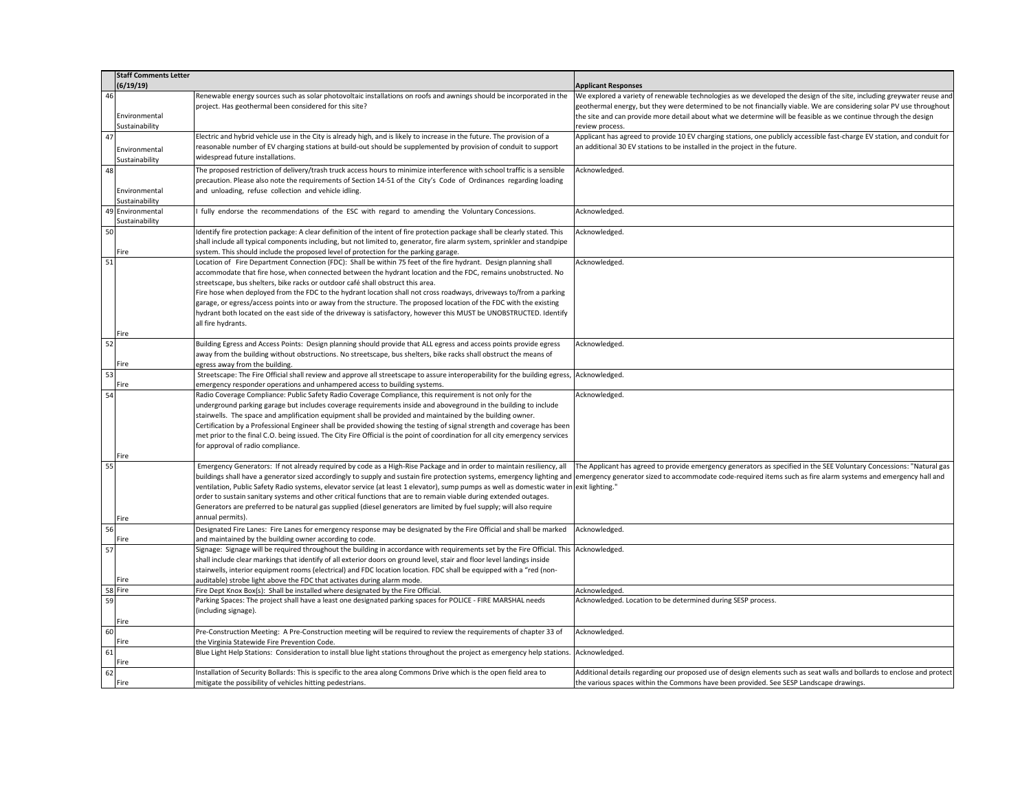|    | <b>Staff Comments Letter</b> |                                                                                                                                                                                                                                           |                                                                                                                          |
|----|------------------------------|-------------------------------------------------------------------------------------------------------------------------------------------------------------------------------------------------------------------------------------------|--------------------------------------------------------------------------------------------------------------------------|
|    | (6/19/19)                    |                                                                                                                                                                                                                                           | <b>Applicant Responses</b>                                                                                               |
| 46 |                              | Renewable energy sources such as solar photovoltaic installations on roofs and awnings should be incorporated in the                                                                                                                      | We explored a variety of renewable technologies as we developed the design of the site, including greywater reuse and    |
|    |                              | project. Has geothermal been considered for this site?                                                                                                                                                                                    | geothermal energy, but they were determined to be not financially viable. We are considering solar PV use throughout     |
|    | Environmental                |                                                                                                                                                                                                                                           | the site and can provide more detail about what we determine will be feasible as we continue through the design          |
|    | Sustainability               |                                                                                                                                                                                                                                           | review process.                                                                                                          |
| 47 |                              | Electric and hybrid vehicle use in the City is already high, and is likely to increase in the future. The provision of a                                                                                                                  | Applicant has agreed to provide 10 EV charging stations, one publicly accessible fast-charge EV station, and conduit for |
|    | Environmental                | reasonable number of EV charging stations at build-out should be supplemented by provision of conduit to support                                                                                                                          | an additional 30 EV stations to be installed in the project in the future.                                               |
|    | Sustainability               | widespread future installations.                                                                                                                                                                                                          |                                                                                                                          |
| 48 |                              | The proposed restriction of delivery/trash truck access hours to minimize interference with school traffic is a sensible                                                                                                                  | Acknowledged.                                                                                                            |
|    |                              | precaution. Please also note the requirements of Section 14-51 of the City's Code of Ordinances regarding loading                                                                                                                         |                                                                                                                          |
|    | Environmental                | and unloading, refuse collection and vehicle idling.                                                                                                                                                                                      |                                                                                                                          |
|    | Sustainability               |                                                                                                                                                                                                                                           |                                                                                                                          |
|    | 49 Environmental             | fully endorse the recommendations of the ESC with regard to amending the Voluntary Concessions.                                                                                                                                           | Acknowledged.                                                                                                            |
|    | Sustainability               |                                                                                                                                                                                                                                           |                                                                                                                          |
| 50 |                              | Identify fire protection package: A clear definition of the intent of fire protection package shall be clearly stated. This                                                                                                               | Acknowledged.                                                                                                            |
|    | Fire                         | shall include all typical components including, but not limited to, generator, fire alarm system, sprinkler and standpipe                                                                                                                 |                                                                                                                          |
|    |                              | system. This should include the proposed level of protection for the parking garage.                                                                                                                                                      |                                                                                                                          |
| 51 |                              | Location of Fire Department Connection (FDC): Shall be within 75 feet of the fire hydrant. Design planning shall                                                                                                                          | Acknowledged.                                                                                                            |
|    |                              | accommodate that fire hose, when connected between the hydrant location and the FDC, remains unobstructed. No<br>streetscape, bus shelters, bike racks or outdoor café shall obstruct this area.                                          |                                                                                                                          |
|    |                              | Fire hose when deployed from the FDC to the hydrant location shall not cross roadways, driveways to/from a parking                                                                                                                        |                                                                                                                          |
|    |                              | garage, or egress/access points into or away from the structure. The proposed location of the FDC with the existing                                                                                                                       |                                                                                                                          |
|    |                              | hydrant both located on the east side of the driveway is satisfactory, however this MUST be UNOBSTRUCTED. Identify                                                                                                                        |                                                                                                                          |
|    |                              | all fire hydrants.                                                                                                                                                                                                                        |                                                                                                                          |
|    | Fire                         |                                                                                                                                                                                                                                           |                                                                                                                          |
| 52 |                              | Building Egress and Access Points: Design planning should provide that ALL egress and access points provide egress                                                                                                                        | Acknowledged.                                                                                                            |
|    |                              | away from the building without obstructions. No streetscape, bus shelters, bike racks shall obstruct the means of                                                                                                                         |                                                                                                                          |
|    | Fire                         | egress away from the building.                                                                                                                                                                                                            |                                                                                                                          |
| 53 |                              | Streetscape: The Fire Official shall review and approve all streetscape to assure interoperability for the building egress, Acknowledged.                                                                                                 |                                                                                                                          |
|    | Fire                         | emergency responder operations and unhampered access to building systems.                                                                                                                                                                 |                                                                                                                          |
| 54 |                              | Radio Coverage Compliance: Public Safety Radio Coverage Compliance, this requirement is not only for the                                                                                                                                  | Acknowledged.                                                                                                            |
|    |                              | underground parking garage but includes coverage requirements inside and aboveground in the building to include                                                                                                                           |                                                                                                                          |
|    |                              | stairwells. The space and amplification equipment shall be provided and maintained by the building owner.                                                                                                                                 |                                                                                                                          |
|    |                              | Certification by a Professional Engineer shall be provided showing the testing of signal strength and coverage has been                                                                                                                   |                                                                                                                          |
|    |                              | met prior to the final C.O. being issued. The City Fire Official is the point of coordination for all city emergency services                                                                                                             |                                                                                                                          |
|    |                              | for approval of radio compliance.                                                                                                                                                                                                         |                                                                                                                          |
|    | Fire                         |                                                                                                                                                                                                                                           |                                                                                                                          |
| 55 |                              | Emergency Generators: If not already required by code as a High-Rise Package and in order to maintain resiliency, all                                                                                                                     | The Applicant has agreed to provide emergency generators as specified in the SEE Voluntary Concessions: "Natural gas     |
|    |                              | buildings shall have a generator sized accordingly to supply and sustain fire protection systems, emergency lighting and emergency generator sized to accommodate code-required items such as fire alarm systems and emergency            |                                                                                                                          |
|    |                              | ventilation, Public Safety Radio systems, elevator service (at least 1 elevator), sump pumps as well as domestic water in exit lighting."                                                                                                 |                                                                                                                          |
|    |                              | order to sustain sanitary systems and other critical functions that are to remain viable during extended outages.<br>Generators are preferred to be natural gas supplied (diesel generators are limited by fuel supply; will also require |                                                                                                                          |
|    | Fire                         | annual permits)                                                                                                                                                                                                                           |                                                                                                                          |
| 56 |                              | Designated Fire Lanes: Fire Lanes for emergency response may be designated by the Fire Official and shall be marked                                                                                                                       | Acknowledged.                                                                                                            |
|    | Fire                         | and maintained by the building owner according to code.                                                                                                                                                                                   |                                                                                                                          |
| 57 |                              | Signage: Signage will be required throughout the building in accordance with requirements set by the Fire Official. This                                                                                                                  | Acknowledged.                                                                                                            |
|    |                              | shall include clear markings that identify of all exterior doors on ground level, stair and floor level landings inside                                                                                                                   |                                                                                                                          |
|    |                              | stairwells, interior equipment rooms (electrical) and FDC location location. FDC shall be equipped with a "red (non-                                                                                                                      |                                                                                                                          |
|    |                              | auditable) strobe light above the FDC that activates during alarm mode.                                                                                                                                                                   |                                                                                                                          |
|    |                              | Fire Dept Knox Box(s): Shall be installed where designated by the Fire Official.                                                                                                                                                          | Acknowledged.                                                                                                            |
|    | 58 Fire<br>59                | Parking Spaces: The project shall have a least one designated parking spaces for POLICE - FIRE MARSHAL needs                                                                                                                              | Acknowledged. Location to be determined during SESP process.                                                             |
|    |                              | (including signage).                                                                                                                                                                                                                      |                                                                                                                          |
|    | Fire                         |                                                                                                                                                                                                                                           |                                                                                                                          |
| 60 |                              | Pre-Construction Meeting: A Pre-Construction meeting will be required to review the requirements of chapter 33 of                                                                                                                         | Acknowledged.                                                                                                            |
|    | Fire                         | the Virginia Statewide Fire Prevention Code.                                                                                                                                                                                              |                                                                                                                          |
| 61 |                              | Blue Light Help Stations: Consideration to install blue light stations throughout the project as emergency help stations.                                                                                                                 | Acknowledged.                                                                                                            |
|    | Fire                         |                                                                                                                                                                                                                                           |                                                                                                                          |
| 62 |                              | Installation of Security Bollards: This is specific to the area along Commons Drive which is the open field area to                                                                                                                       | Additional details regarding our proposed use of design elements such as seat walls and bollards to enclose and protect  |
|    | Fire                         | mitigate the possibility of vehicles hitting pedestrians.                                                                                                                                                                                 | the various spaces within the Commons have been provided. See SESP Landscape drawings.                                   |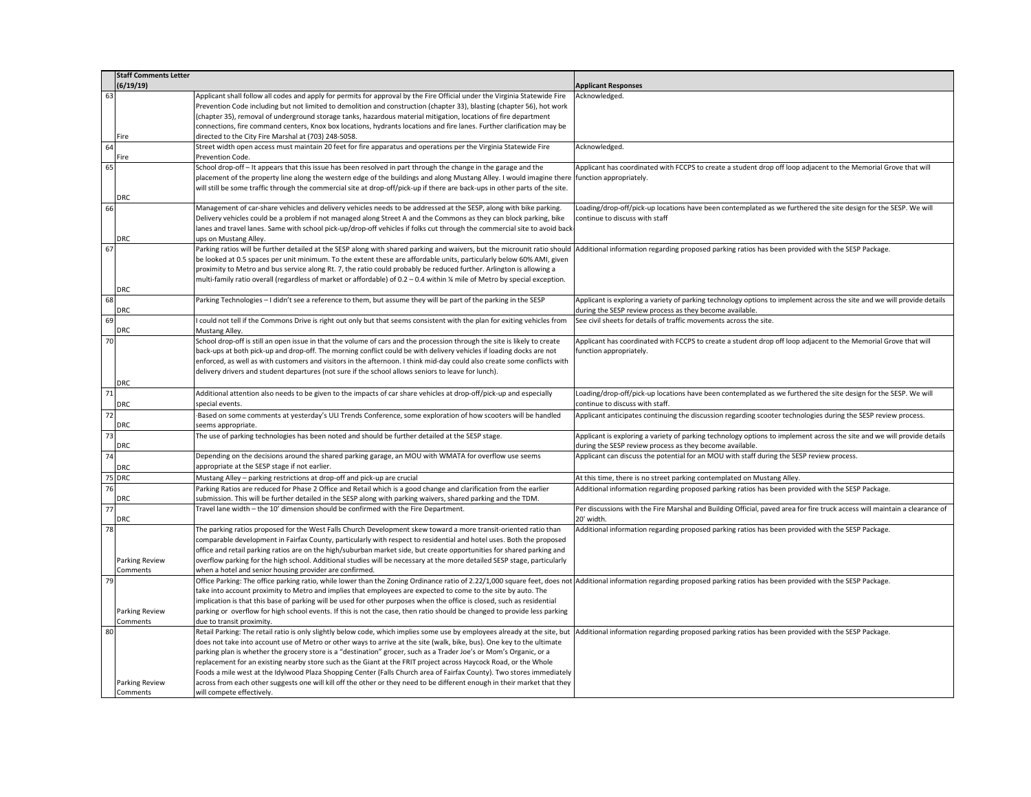|    | <b>Staff Comments Letter</b> |                                                                                                                                                                                                                             |                                                                                                                            |
|----|------------------------------|-----------------------------------------------------------------------------------------------------------------------------------------------------------------------------------------------------------------------------|----------------------------------------------------------------------------------------------------------------------------|
|    | (6/19/19)                    |                                                                                                                                                                                                                             | <b>Applicant Responses</b>                                                                                                 |
| 63 |                              | Applicant shall follow all codes and apply for permits for approval by the Fire Official under the Virginia Statewide Fire                                                                                                  | Acknowledged.                                                                                                              |
|    |                              | Prevention Code including but not limited to demolition and construction (chapter 33), blasting (chapter 56), hot work                                                                                                      |                                                                                                                            |
|    |                              | (chapter 35), removal of underground storage tanks, hazardous material mitigation, locations of fire department                                                                                                             |                                                                                                                            |
|    |                              | connections, fire command centers, Knox box locations, hydrants locations and fire lanes. Further clarification may be                                                                                                      |                                                                                                                            |
|    | Fire                         | directed to the City Fire Marshal at (703) 248-5058.                                                                                                                                                                        |                                                                                                                            |
| 64 |                              | Street width open access must maintain 20 feet for fire apparatus and operations per the Virginia Statewide Fire                                                                                                            | Acknowledged.                                                                                                              |
|    | Fire                         | Prevention Code.                                                                                                                                                                                                            |                                                                                                                            |
| 65 |                              | School drop-off – It appears that this issue has been resolved in part through the change in the garage and the                                                                                                             | Applicant has coordinated with FCCPS to create a student drop off loop adjacent to the Memorial Grove that will            |
|    |                              | placement of the property line along the western edge of the buildings and along Mustang Alley. I would imagine there                                                                                                       | function appropriately.                                                                                                    |
|    |                              | will still be some traffic through the commercial site at drop-off/pick-up if there are back-ups in other parts of the site.                                                                                                |                                                                                                                            |
|    | <b>DRC</b>                   |                                                                                                                                                                                                                             |                                                                                                                            |
| 66 |                              | Management of car-share vehicles and delivery vehicles needs to be addressed at the SESP, along with bike parking.                                                                                                          | Loading/drop-off/pick-up locations have been contemplated as we furthered the site design for the SESP. We will            |
|    |                              | Delivery vehicles could be a problem if not managed along Street A and the Commons as they can block parking, bike                                                                                                          | continue to discuss with staff                                                                                             |
|    |                              | lanes and travel lanes. Same with school pick-up/drop-off vehicles if folks cut through the commercial site to avoid back                                                                                                   |                                                                                                                            |
|    | DRC                          | ups on Mustang Alley.                                                                                                                                                                                                       |                                                                                                                            |
| 67 |                              | Parking ratios will be further detailed at the SESP along with shared parking and waivers, but the microunit ratio should                                                                                                   | Additional information regarding proposed parking ratios has been provided with the SESP Package.                          |
|    |                              | be looked at 0.5 spaces per unit minimum. To the extent these are affordable units, particularly below 60% AMI, given                                                                                                       |                                                                                                                            |
|    |                              | proximity to Metro and bus service along Rt. 7, the ratio could probably be reduced further. Arlington is allowing a                                                                                                        |                                                                                                                            |
|    |                              | multi-family ratio overall (regardless of market or affordable) of 0.2 - 0.4 within % mile of Metro by special exception.                                                                                                   |                                                                                                                            |
|    | <b>DRC</b>                   |                                                                                                                                                                                                                             |                                                                                                                            |
| 68 |                              | Parking Technologies - I didn't see a reference to them, but assume they will be part of the parking in the SESP                                                                                                            | Applicant is exploring a variety of parking technology options to implement across the site and we will provide details    |
|    | <b>DRC</b>                   |                                                                                                                                                                                                                             | during the SESP review process as they become available.                                                                   |
| 69 |                              | could not tell if the Commons Drive is right out only but that seems consistent with the plan for exiting vehicles from                                                                                                     | See civil sheets for details of traffic movements across the site.                                                         |
|    | <b>DRC</b>                   | Mustang Alley.                                                                                                                                                                                                              |                                                                                                                            |
| 70 |                              | School drop-off is still an open issue in that the volume of cars and the procession through the site is likely to create                                                                                                   | Applicant has coordinated with FCCPS to create a student drop off loop adjacent to the Memorial Grove that will            |
|    |                              | back-ups at both pick-up and drop-off. The morning conflict could be with delivery vehicles if loading docks are not                                                                                                        | function appropriately.                                                                                                    |
|    |                              | enforced, as well as with customers and visitors in the afternoon. I think mid-day could also create some conflicts with                                                                                                    |                                                                                                                            |
|    |                              | delivery drivers and student departures (not sure if the school allows seniors to leave for lunch).                                                                                                                         |                                                                                                                            |
|    | <b>DRC</b>                   |                                                                                                                                                                                                                             |                                                                                                                            |
| 71 |                              | Additional attention also needs to be given to the impacts of car share vehicles at drop-off/pick-up and especially                                                                                                         | Loading/drop-off/pick-up locations have been contemplated as we furthered the site design for the SESP. We will            |
|    | DRC                          | special events.                                                                                                                                                                                                             | continue to discuss with staff.                                                                                            |
| 72 |                              | Based on some comments at yesterday's ULI Trends Conference, some exploration of how scooters will be handled                                                                                                               | Applicant anticipates continuing the discussion regarding scooter technologies during the SESP review process.             |
|    | <b>DRC</b>                   | eems appropriate.                                                                                                                                                                                                           |                                                                                                                            |
| 73 |                              | The use of parking technologies has been noted and should be further detailed at the SESP stage.                                                                                                                            | Applicant is exploring a variety of parking technology options to implement across the site and we will provide details    |
|    | <b>DRC</b>                   |                                                                                                                                                                                                                             | during the SESP review process as they become available.                                                                   |
| 74 |                              | Depending on the decisions around the shared parking garage, an MOU with WMATA for overflow use seems                                                                                                                       | Applicant can discuss the potential for an MOU with staff during the SESP review process.                                  |
|    | <b>DRC</b>                   | appropriate at the SESP stage if not earlier.                                                                                                                                                                               |                                                                                                                            |
| 75 | <b>DRC</b>                   | Mustang Alley – parking restrictions at drop-off and pick-up are crucial                                                                                                                                                    | At this time, there is no street parking contemplated on Mustang Alley.                                                    |
| 76 |                              | Parking Ratios are reduced for Phase 2 Office and Retail which is a good change and clarification from the earlier                                                                                                          | Additional information regarding proposed parking ratios has been provided with the SESP Package.                          |
|    | <b>DRC</b>                   | ubmission. This will be further detailed in the SESP along with parking waivers, shared parking and the TDM.                                                                                                                |                                                                                                                            |
| 77 |                              | Travel lane width - the 10' dimension should be confirmed with the Fire Department.                                                                                                                                         | Per discussions with the Fire Marshal and Building Official, paved area for fire truck access will maintain a clearance of |
|    | DRC                          |                                                                                                                                                                                                                             | 20' width.                                                                                                                 |
| 78 |                              | The parking ratios proposed for the West Falls Church Development skew toward a more transit-oriented ratio than                                                                                                            | Additional information regarding proposed parking ratios has been provided with the SESP Package.                          |
|    |                              | comparable development in Fairfax County, particularly with respect to residential and hotel uses. Both the proposed                                                                                                        |                                                                                                                            |
|    |                              | office and retail parking ratios are on the high/suburban market side, but create opportunities for shared parking and                                                                                                      |                                                                                                                            |
|    | <b>Parking Review</b>        | overflow parking for the high school. Additional studies will be necessary at the more detailed SESP stage, particularly                                                                                                    |                                                                                                                            |
|    | Comments                     | when a hotel and senior housing provider are confirmed.                                                                                                                                                                     |                                                                                                                            |
| 79 |                              | Office Parking: The office parking ratio, while lower than the Zoning Ordinance ratio of 2.22/1,000 square feet, does not Additional information regarding proposed parking ratios has been provided with the SESP Package. |                                                                                                                            |
|    |                              | take into account proximity to Metro and implies that employees are expected to come to the site by auto. The                                                                                                               |                                                                                                                            |
|    |                              | implication is that this base of parking will be used for other purposes when the office is closed, such as residential                                                                                                     |                                                                                                                            |
|    | <b>Parking Review</b>        | parking or overflow for high school events. If this is not the case, then ratio should be changed to provide less parking                                                                                                   |                                                                                                                            |
|    | Comments                     | due to transit proximity.                                                                                                                                                                                                   |                                                                                                                            |
| 80 |                              | Retail Parking: The retail ratio is only slightly below code, which implies some use by employees already at the site, but                                                                                                  | Additional information regarding proposed parking ratios has been provided with the SESP Package.                          |
|    |                              | does not take into account use of Metro or other ways to arrive at the site (walk, bike, bus). One key to the ultimate                                                                                                      |                                                                                                                            |
|    |                              | parking plan is whether the grocery store is a "destination" grocer, such as a Trader Joe's or Mom's Organic, or a                                                                                                          |                                                                                                                            |
|    |                              | replacement for an existing nearby store such as the Giant at the FRIT project across Haycock Road, or the Whole                                                                                                            |                                                                                                                            |
|    |                              | Foods a mile west at the Idylwood Plaza Shopping Center (Falls Church area of Fairfax County). Two stores immediately                                                                                                       |                                                                                                                            |
|    | Parking Review               | across from each other suggests one will kill off the other or they need to be different enough in their market that they                                                                                                   |                                                                                                                            |
|    | Comments                     | will compete effectively.                                                                                                                                                                                                   |                                                                                                                            |